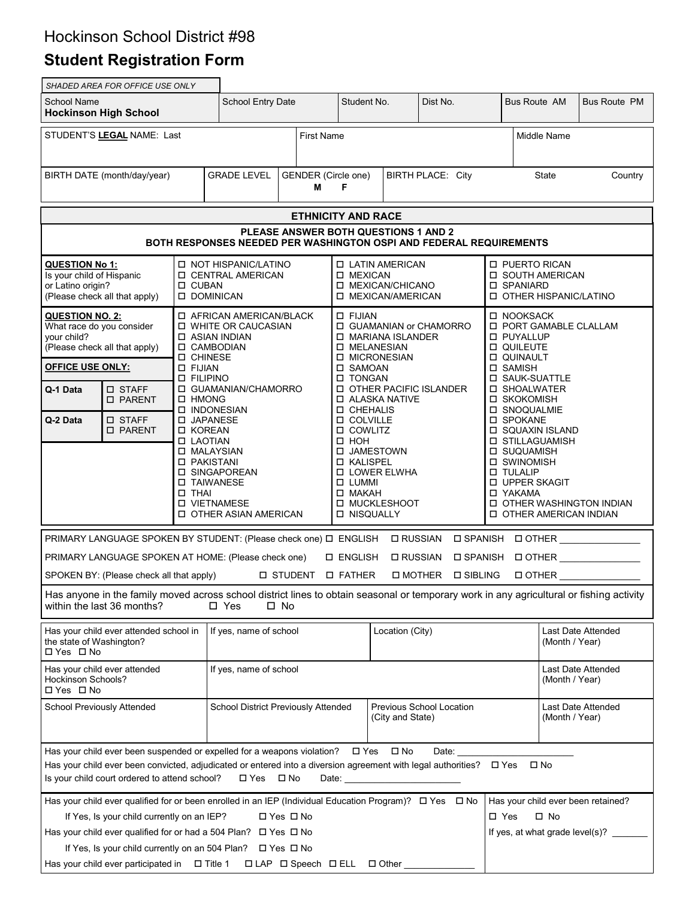## Hockinson School District #98

## **Student Registration Form**

| SHADED AREA FOR OFFICE USE ONLY                                                                                                                                                                   |                                                                                                                   |                   |                                                                    |                                     |                         |                                                           |                                                              |                          |                                                                         |                                   |                                                                                                                                                                                                                                                     |
|---------------------------------------------------------------------------------------------------------------------------------------------------------------------------------------------------|-------------------------------------------------------------------------------------------------------------------|-------------------|--------------------------------------------------------------------|-------------------------------------|-------------------------|-----------------------------------------------------------|--------------------------------------------------------------|--------------------------|-------------------------------------------------------------------------|-----------------------------------|-----------------------------------------------------------------------------------------------------------------------------------------------------------------------------------------------------------------------------------------------------|
| School Name<br><b>Hockinson High School</b>                                                                                                                                                       |                                                                                                                   |                   | School Entry Date                                                  |                                     | Student No.<br>Dist No. |                                                           |                                                              | <b>Bus Route AM</b>      | <b>Bus Route PM</b>                                                     |                                   |                                                                                                                                                                                                                                                     |
| STUDENT'S LEGAL NAME: Last                                                                                                                                                                        |                                                                                                                   |                   |                                                                    |                                     | <b>First Name</b>       |                                                           |                                                              |                          |                                                                         | Middle Name                       |                                                                                                                                                                                                                                                     |
|                                                                                                                                                                                                   |                                                                                                                   |                   |                                                                    |                                     |                         |                                                           |                                                              |                          |                                                                         |                                   |                                                                                                                                                                                                                                                     |
|                                                                                                                                                                                                   |                                                                                                                   |                   |                                                                    |                                     |                         |                                                           |                                                              |                          |                                                                         |                                   |                                                                                                                                                                                                                                                     |
|                                                                                                                                                                                                   | BIRTH DATE (month/day/year)                                                                                       |                   | <b>GRADE LEVEL</b>                                                 | GENDER (Circle one)<br>Μ            |                         | F                                                         |                                                              | <b>BIRTH PLACE: City</b> |                                                                         | State                             | Country                                                                                                                                                                                                                                             |
|                                                                                                                                                                                                   |                                                                                                                   |                   |                                                                    |                                     |                         |                                                           |                                                              |                          |                                                                         |                                   |                                                                                                                                                                                                                                                     |
| <b>ETHNICITY AND RACE</b>                                                                                                                                                                         |                                                                                                                   |                   |                                                                    |                                     |                         |                                                           |                                                              |                          |                                                                         |                                   |                                                                                                                                                                                                                                                     |
|                                                                                                                                                                                                   |                                                                                                                   |                   | BOTH RESPONSES NEEDED PER WASHINGTON OSPI AND FEDERAL REQUIREMENTS |                                     |                         | PLEASE ANSWER BOTH QUESTIONS 1 AND 2                      |                                                              |                          |                                                                         |                                   |                                                                                                                                                                                                                                                     |
| QUESTION No 1:                                                                                                                                                                                    |                                                                                                                   |                   | <b>INOT HISPANIC/LATINO</b>                                        |                                     |                         | <b>D LATIN AMERICAN</b>                                   |                                                              |                          |                                                                         | <b>D</b> PUERTO RICAN             |                                                                                                                                                                                                                                                     |
| Is your child of Hispanic<br>or Latino origin?                                                                                                                                                    |                                                                                                                   | □ CUBAN           | □ CENTRAL AMERICAN                                                 |                                     |                         | □ MEXICAN<br><b>II MEXICAN/CHICANO</b>                    |                                                              |                          | <b>D SOUTH AMERICAN</b><br>□ SPANIARD                                   |                                   |                                                                                                                                                                                                                                                     |
| (Please check all that apply)                                                                                                                                                                     |                                                                                                                   |                   | □ DOMINICAN                                                        |                                     |                         | □ MEXICAN/AMERICAN                                        |                                                              |                          | OTHER HISPANIC/LATINO                                                   |                                   |                                                                                                                                                                                                                                                     |
| <b>QUESTION NO. 2:</b>                                                                                                                                                                            |                                                                                                                   |                   | <b>I AFRICAN AMERICAN/BLACK</b>                                    |                                     |                         | <b>D</b> FIJIAN                                           |                                                              |                          |                                                                         | □ NOOKSACK                        |                                                                                                                                                                                                                                                     |
| What race do you consider<br>your child?                                                                                                                                                          |                                                                                                                   |                   | <b>D</b> WHITE OR CAUCASIAN<br>□ ASIAN INDIAN                      |                                     |                         | □ MARIANA ISLANDER                                        |                                                              | □ GUAMANIAN or CHAMORRO  |                                                                         | <b>IN PORT GAMABLE CLALLAM</b>    |                                                                                                                                                                                                                                                     |
| (Please check all that apply)                                                                                                                                                                     |                                                                                                                   |                   | □ CAMBODIAN                                                        |                                     |                         | □ MELANESIAN                                              |                                                              |                          |                                                                         | □ PUYALLUP<br><b>D</b> QUILEUTE   |                                                                                                                                                                                                                                                     |
| <b>OFFICE USE ONLY:</b>                                                                                                                                                                           |                                                                                                                   | $\Box$ FIJIAN     | <b>D CHINESE</b>                                                   |                                     |                         | <b>D MICRONESIAN</b><br>□ SAMOAN                          |                                                              |                          |                                                                         | <b>D QUINAULT</b>                 |                                                                                                                                                                                                                                                     |
|                                                                                                                                                                                                   |                                                                                                                   | <b>D FILIPINO</b> |                                                                    | □ GUAMANIAN/CHAMORRO                |                         | <b>ITONGAN</b>                                            |                                                              |                          |                                                                         | □ SAMISH<br><b>D SAUK-SUATTLE</b> |                                                                                                                                                                                                                                                     |
| Q-1 Data                                                                                                                                                                                          | □ STAFF<br>□ PARENT                                                                                               | □ HMONG           |                                                                    |                                     |                         | <b>D</b> OTHER PACIFIC ISLANDER<br><b>D ALASKA NATIVE</b> |                                                              |                          | <b>D SHOALWATER</b><br>□ SKOKOMISH                                      |                                   |                                                                                                                                                                                                                                                     |
|                                                                                                                                                                                                   |                                                                                                                   | <b>INDONESIAN</b> |                                                                    |                                     |                         | <b>D</b> CHEHALIS<br>□ COLVILLE<br>□ COWLITZ              |                                                              |                          | <b>INDICAL SNOQUALMIE</b><br>□ SPOKANE<br>□ SQUAXIN ISLAND              |                                   |                                                                                                                                                                                                                                                     |
| Q-2 Data                                                                                                                                                                                          | □ STAFF<br>□ PARENT                                                                                               |                   | □ JAPANESE<br>□ KOREAN                                             |                                     |                         |                                                           |                                                              |                          |                                                                         |                                   |                                                                                                                                                                                                                                                     |
|                                                                                                                                                                                                   |                                                                                                                   |                   | <b>ILAOTIAN</b>                                                    |                                     |                         | п нон                                                     |                                                              |                          |                                                                         | <b>D STILLAGUAMISH</b>            |                                                                                                                                                                                                                                                     |
|                                                                                                                                                                                                   |                                                                                                                   |                   | □ MALAYSIAN<br>□ PAKISTANI                                         |                                     |                         |                                                           | □ JAMESTOWN<br>□ KALISPEL<br><b>D LOWER ELWHA</b><br>□ LUMMI |                          | <b>D SUQUAMISH</b><br>□ SWINOMISH<br><b>D</b> TULALIP<br>□ UPPER SKAGIT |                                   |                                                                                                                                                                                                                                                     |
|                                                                                                                                                                                                   |                                                                                                                   |                   | □ SINGAPOREAN<br>□ TAIWANESE                                       |                                     |                         |                                                           |                                                              |                          |                                                                         |                                   |                                                                                                                                                                                                                                                     |
|                                                                                                                                                                                                   |                                                                                                                   | $\Box$ THAI       |                                                                    |                                     |                         | □ МАКАН                                                   |                                                              | □ YAKAMA                 |                                                                         |                                   |                                                                                                                                                                                                                                                     |
|                                                                                                                                                                                                   |                                                                                                                   |                   | □ VIETNAMESE                                                       | <b>ID OTHER ASIAN AMERICAN</b>      |                         |                                                           | <b>D MUCKLESHOOT</b><br><b>D NISQUALLY</b>                   |                          |                                                                         | <b>ID OTHER AMERICAN INDIAN</b>   | OTHER WASHINGTON INDIAN                                                                                                                                                                                                                             |
|                                                                                                                                                                                                   |                                                                                                                   |                   |                                                                    |                                     |                         |                                                           |                                                              |                          |                                                                         |                                   |                                                                                                                                                                                                                                                     |
|                                                                                                                                                                                                   | PRIMARY LANGUAGE SPOKEN BY STUDENT: (Please check one) □ ENGLISH                                                  |                   |                                                                    |                                     |                         |                                                           |                                                              | □ RUSSIAN □ SPANISH      |                                                                         |                                   | $\Box$ OTHER                                                                                                                                                                                                                                        |
|                                                                                                                                                                                                   | PRIMARY LANGUAGE SPOKEN AT HOME: (Please check one)                                                               |                   |                                                                    |                                     |                         | <b>D</b> ENGLISH                                          | □ RUSSIAN                                                    | □ SPANISH                |                                                                         |                                   | $\begin{tabular}{ c c c c } \hline $\Box$ OTHER \underline{\hspace{1cm}} \hspace{1cm} \hspace{1cm} \hspace{1cm} \hspace{1cm} \hspace{1cm} \hspace{1cm} \hspace{1cm} \hspace{1cm} \hspace{1cm} \hspace{1cm} \hspace{1cm} \hspace{1cm} \end{tabular}$ |
|                                                                                                                                                                                                   | SPOKEN BY: (Please check all that apply)                                                                          |                   |                                                                    |                                     |                         | $\Box$ STUDENT $\Box$ FATHER                              |                                                              | □ MOTHER<br>□ SIBLING    |                                                                         | $\Box$ OTHER                      |                                                                                                                                                                                                                                                     |
|                                                                                                                                                                                                   | within the last 36 months?                                                                                        |                   | $\Box$ Yes                                                         | □ No                                |                         |                                                           |                                                              |                          |                                                                         |                                   | Has anyone in the family moved across school district lines to obtain seasonal or temporary work in any agricultural or fishing activity                                                                                                            |
|                                                                                                                                                                                                   | Has your child ever attended school in                                                                            |                   | If yes, name of school                                             |                                     |                         | Location (City)                                           |                                                              |                          |                                                                         | Last Date Attended                |                                                                                                                                                                                                                                                     |
| the state of Washington?<br>□ Yes □ No                                                                                                                                                            |                                                                                                                   |                   |                                                                    |                                     |                         |                                                           |                                                              |                          |                                                                         |                                   | (Month / Year)                                                                                                                                                                                                                                      |
|                                                                                                                                                                                                   | Has your child ever attended                                                                                      |                   |                                                                    | If yes, name of school              |                         |                                                           |                                                              |                          |                                                                         | Last Date Attended                |                                                                                                                                                                                                                                                     |
| Hockinson Schools?<br>□ Yes □ No                                                                                                                                                                  |                                                                                                                   |                   |                                                                    |                                     |                         |                                                           |                                                              |                          |                                                                         |                                   | (Month / Year)                                                                                                                                                                                                                                      |
| School Previously Attended                                                                                                                                                                        |                                                                                                                   |                   |                                                                    | School District Previously Attended |                         |                                                           |                                                              | Previous School Location |                                                                         |                                   | Last Date Attended                                                                                                                                                                                                                                  |
| (City and State)<br>(Month / Year)                                                                                                                                                                |                                                                                                                   |                   |                                                                    |                                     |                         |                                                           |                                                              |                          |                                                                         |                                   |                                                                                                                                                                                                                                                     |
|                                                                                                                                                                                                   | Has your child ever been suspended or expelled for a weapons violation?                                           |                   |                                                                    |                                     |                         | $\square$ Yes                                             | $\square$ No                                                 | Date:                    |                                                                         |                                   |                                                                                                                                                                                                                                                     |
| Has your child ever been convicted, adjudicated or entered into a diversion agreement with legal authorities? $\Box$ Yes $\Box$ No<br>Is your child court ordered to attend school?<br>□ Yes □ No |                                                                                                                   |                   |                                                                    |                                     |                         |                                                           |                                                              |                          |                                                                         |                                   |                                                                                                                                                                                                                                                     |
|                                                                                                                                                                                                   | Has your child ever qualified for or been enrolled in an IEP (Individual Education Program)? $\Box$ Yes $\Box$ No |                   |                                                                    |                                     |                         |                                                           |                                                              |                          |                                                                         |                                   | Has your child ever been retained?                                                                                                                                                                                                                  |
|                                                                                                                                                                                                   | If Yes, Is your child currently on an IEP?                                                                        |                   |                                                                    | □ Yes □ No                          |                         |                                                           |                                                              |                          | $\Box$ Yes                                                              | □ No                              |                                                                                                                                                                                                                                                     |
|                                                                                                                                                                                                   | Has your child ever qualified for or had a 504 Plan? $\Box$ Yes $\Box$ No                                         |                   |                                                                    |                                     |                         |                                                           |                                                              |                          |                                                                         | If yes, at what grade level(s)?   |                                                                                                                                                                                                                                                     |
|                                                                                                                                                                                                   | If Yes, Is your child currently on an 504 Plan? $\Box$ Yes $\Box$ No                                              |                   |                                                                    |                                     |                         |                                                           |                                                              |                          |                                                                         |                                   |                                                                                                                                                                                                                                                     |
| Has your child ever participated in<br>$\Box$ Title 1<br>□ LAP □ Speech □ ELL<br>$\Box$ Other                                                                                                     |                                                                                                                   |                   |                                                                    |                                     |                         |                                                           |                                                              |                          |                                                                         |                                   |                                                                                                                                                                                                                                                     |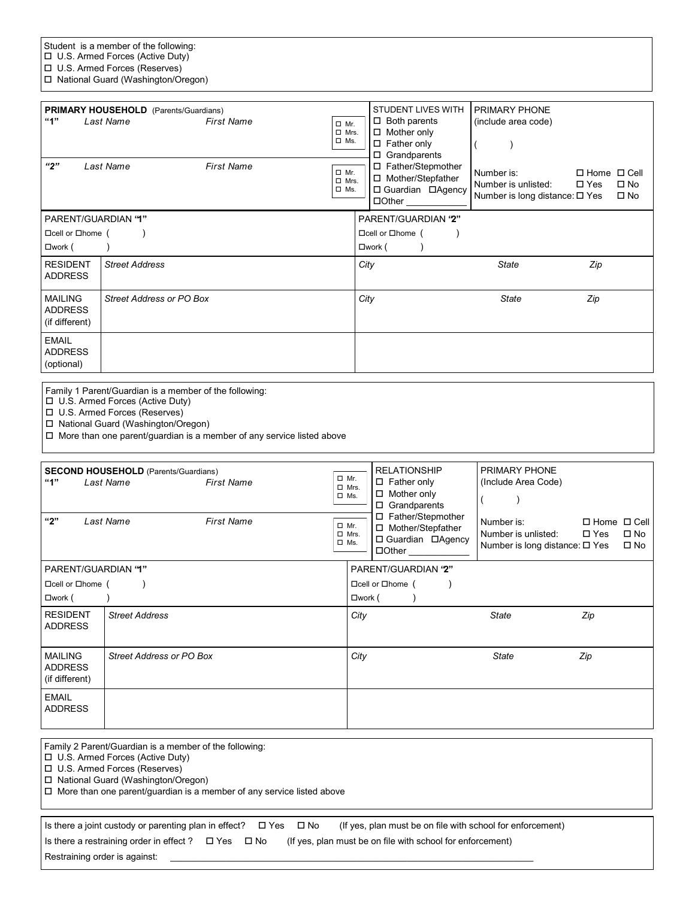|  |  |  |  | Student is a member of the following: |
|--|--|--|--|---------------------------------------|
|--|--|--|--|---------------------------------------|

U.S. Armed Forces (Active Duty)

 U.S. Armed Forces (Reserves) National Guard (Washington/Oregon)

| 4"<br>"2"                                           | <b>PRIMARY HOUSEHOLD</b> (Parents/Guardians)<br>Last Name<br>Last Name | <b>First Name</b><br><b>First Name</b> | $\Box$ Mr.<br>$\Box$ Mrs.<br>$\square$ Ms.<br>$\Box$ Mr.<br>$\Box$ Mrs.<br>$\square$ Ms. | <b>STUDENT LIVES WITH</b><br>$\Box$ Both parents<br>$\Box$ Mother only<br>$\square$ Father only<br>Grandparents<br>□<br>Father/Stepmother<br>$\Box$<br>□ Mother/Stepfather<br>□ Guardian □ Agency<br>$\Box$ Other | <b>PRIMARY PHONE</b><br>(include area code)<br>Number is:<br>Number is unlisted:<br>Number is long distance: $\square$ Yes | $\Box$ Home $\Box$ Cell<br>$\square$ No<br>$\square$ Yes<br>$\square$ No |
|-----------------------------------------------------|------------------------------------------------------------------------|----------------------------------------|------------------------------------------------------------------------------------------|-------------------------------------------------------------------------------------------------------------------------------------------------------------------------------------------------------------------|----------------------------------------------------------------------------------------------------------------------------|--------------------------------------------------------------------------|
| PARENT/GUARDIAN "1"<br>$\Box$ cell or $\Box$ home ( |                                                                        |                                        |                                                                                          | PARENT/GUARDIAN '2"<br>$\Box$ cell or $\Box$ home (                                                                                                                                                               |                                                                                                                            |                                                                          |
| Dwork(<br><b>RESIDENT</b><br><b>ADDRESS</b>         | <b>Street Address</b>                                                  |                                        |                                                                                          | $\square$ work (<br>City                                                                                                                                                                                          | <b>State</b>                                                                                                               | Zip                                                                      |
| <b>MAILING</b><br><b>ADDRESS</b><br>(if different)  | <b>Street Address or PO Box</b>                                        |                                        |                                                                                          | City                                                                                                                                                                                                              | <b>State</b>                                                                                                               | Zip                                                                      |
| <b>EMAIL</b><br><b>ADDRESS</b><br>(optional)        |                                                                        |                                        |                                                                                          |                                                                                                                                                                                                                   |                                                                                                                            |                                                                          |

Family 1 Parent/Guardian is a member of the following:

U.S. Armed Forces (Active Duty)

U.S. Armed Forces (Reserves)

National Guard (Washington/Oregon)

 $\Box$  More than one parent/guardian is a member of any service listed above

| "1"<br>"2"                                         | <b>SECOND HOUSEHOLD</b> (Parents/Guardians)<br>Last Name<br>Last Name | <b>First Name</b><br><b>First Name</b> | $\Box$ Mr.<br>$\Box$ Mrs.<br>$\square$ Ms.<br>$\Box$ Mr.<br>$\square$ Mrs.<br>$\square$ Ms. | <b>RELATIONSHIP</b><br>$\Box$ Father only<br>$\Box$ Mother only<br>$\Box$ Grandparents<br>□ Father/Stepmother<br>□ Mother/Stepfather<br>□ Guardian □ Agency | PRIMARY PHONE<br>(Include Area Code)<br>Number is:<br>Number is unlisted:<br>Number is long distance: $\square$ Yes | $\Box$ Home $\Box$ Cell<br>$\square$ Yes | $\square$ No<br>$\square$ No |
|----------------------------------------------------|-----------------------------------------------------------------------|----------------------------------------|---------------------------------------------------------------------------------------------|-------------------------------------------------------------------------------------------------------------------------------------------------------------|---------------------------------------------------------------------------------------------------------------------|------------------------------------------|------------------------------|
| PARENT/GUARDIAN "1"<br>□cell or □home (            |                                                                       |                                        |                                                                                             | PARENT/GUARDIAN '2"<br>$\Box$ cell or $\Box$ home (                                                                                                         |                                                                                                                     |                                          |                              |
| $\square$ work (                                   |                                                                       |                                        |                                                                                             | $\square$ work (                                                                                                                                            |                                                                                                                     |                                          |                              |
| <b>RESIDENT</b><br><b>ADDRESS</b>                  | <b>Street Address</b>                                                 |                                        | City                                                                                        |                                                                                                                                                             | <b>State</b>                                                                                                        | Zip                                      |                              |
| <b>MAILING</b><br><b>ADDRESS</b><br>(if different) | Street Address or PO Box                                              |                                        | City                                                                                        |                                                                                                                                                             | <b>State</b>                                                                                                        | Zip                                      |                              |
| <b>EMAIL</b><br><b>ADDRESS</b>                     |                                                                       |                                        |                                                                                             |                                                                                                                                                             |                                                                                                                     |                                          |                              |
|                                                    |                                                                       |                                        |                                                                                             |                                                                                                                                                             |                                                                                                                     |                                          |                              |

Family 2 Parent/Guardian is a member of the following:

U.S. Armed Forces (Active Duty)

U.S. Armed Forces (Reserves)

National Guard (Washington/Oregon)

 $\Box$  More than one parent/guardian is a member of any service listed above

| Is there a joint custody or parenting plan in effect? $\Box$ Yes $\Box$ No |  | (If yes, plan must be on file with school for enforcement) |
|----------------------------------------------------------------------------|--|------------------------------------------------------------|
| Is there a restraining order in effect ? $\Box$ Yes $\Box$ No              |  | (If yes, plan must be on file with school for enforcement) |

Restraining order is against: